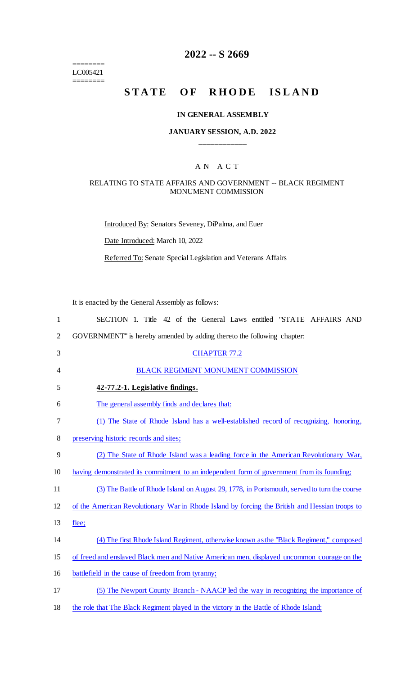======== LC005421 ========

# **2022 -- S 2669**

## **STATE OF RHODE ISLAND**

### **IN GENERAL ASSEMBLY**

### **JANUARY SESSION, A.D. 2022 \_\_\_\_\_\_\_\_\_\_\_\_**

### A N A C T

### RELATING TO STATE AFFAIRS AND GOVERNMENT -- BLACK REGIMENT MONUMENT COMMISSION

Introduced By: Senators Seveney, DiPalma, and Euer

Date Introduced: March 10, 2022

Referred To: Senate Special Legislation and Veterans Affairs

It is enacted by the General Assembly as follows:

| $\mathbf{1}$   | SECTION 1. Title 42 of the General Laws entitled "STATE AFFAIRS AND                            |
|----------------|------------------------------------------------------------------------------------------------|
| $\overline{2}$ | GOVERNMENT" is hereby amended by adding thereto the following chapter:                         |
| 3              | <b>CHAPTER 77.2</b>                                                                            |
| 4              | BLACK REGIMENT MONUMENT COMMISSION                                                             |
| 5              | 42-77.2-1. Legislative findings.                                                               |
| 6              | The general assembly finds and declares that:                                                  |
| 7              | (1) The State of Rhode Island has a well-established record of recognizing, honoring,          |
| 8              | preserving historic records and sites;                                                         |
| 9              | (2) The State of Rhode Island was a leading force in the American Revolutionary War,           |
| 10             | having demonstrated its commitment to an independent form of government from its founding;     |
| 11             | (3) The Battle of Rhode Island on August 29, 1778, in Portsmouth, served to turn the course    |
| 12             | of the American Revolutionary War in Rhode Island by forcing the British and Hessian troops to |
| 13             | flee;                                                                                          |
| 14             | (4) The first Rhode Island Regiment, otherwise known as the "Black Regiment," composed         |
| 15             | of freed and enslaved Black men and Native American men, displayed uncommon courage on the     |
| 16             | battlefield in the cause of freedom from tyranny;                                              |
| 17             | (5) The Newport County Branch - NAACP led the way in recognizing the importance of             |

18 the role that The Black Regiment played in the victory in the Battle of Rhode Island;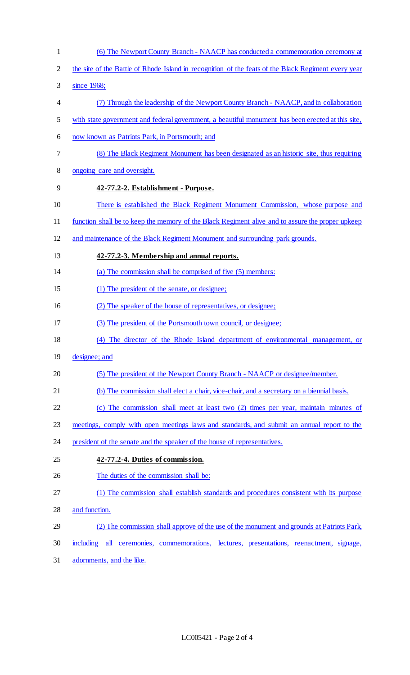| $\mathbf{1}$   | (6) The Newport County Branch - NAACP has conducted a commemoration ceremony at                     |
|----------------|-----------------------------------------------------------------------------------------------------|
| $\overline{2}$ | the site of the Battle of Rhode Island in recognition of the feats of the Black Regiment every year |
| 3              | since 1968;                                                                                         |
| 4              | (7) Through the leadership of the Newport County Branch - NAACP, and in collaboration               |
| 5              | with state government and federal government, a beautiful monument has been erected at this site,   |
| 6              | now known as Patriots Park, in Portsmouth; and                                                      |
| 7              | (8) The Black Regiment Monument has been designated as an historic site, thus requiring             |
| 8              | ongoing care and oversight.                                                                         |
| 9              | 42-77.2-2. Establishment - Purpose.                                                                 |
| 10             | There is established the Black Regiment Monument Commission, whose purpose and                      |
| 11             | function shall be to keep the memory of the Black Regiment alive and to assure the proper upkeep    |
| 12             | and maintenance of the Black Regiment Monument and surrounding park grounds.                        |
| 13             | 42-77.2-3. Membership and annual reports.                                                           |
| 14             | (a) The commission shall be comprised of five (5) members:                                          |
| 15             | (1) The president of the senate, or designee;                                                       |
| 16             | (2) The speaker of the house of representatives, or designee;                                       |
| 17             | (3) The president of the Portsmouth town council, or designee;                                      |
| 18             | (4) The director of the Rhode Island department of environmental management, or                     |
| 19             | designee; and                                                                                       |
| 20             | (5) The president of the Newport County Branch - NAACP or designee/member.                          |
| 21             | (b) The commission shall elect a chair, vice-chair, and a secretary on a biennial basis.            |
| 22             | (c) The commission shall meet at least two (2) times per year, maintain minutes of                  |
| 23             | meetings, comply with open meetings laws and standards, and submit an annual report to the          |
| 24             | president of the senate and the speaker of the house of representatives.                            |
| 25             | 42-77.2-4. Duties of commission.                                                                    |
| 26             | The duties of the commission shall be:                                                              |
| 27             | (1) The commission shall establish standards and procedures consistent with its purpose             |
| 28             | and function.                                                                                       |
| 29             | (2) The commission shall approve of the use of the monument and grounds at Patriots Park,           |
| 30             | including<br>all ceremonies, commemorations,<br>lectures, presentations, reenactment, signage,      |
| 31             | adornments, and the like.                                                                           |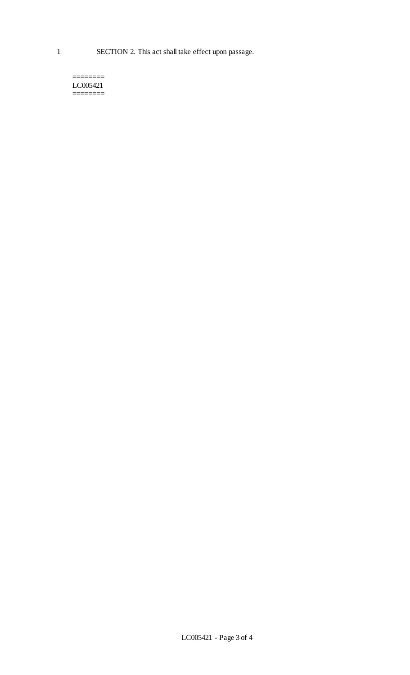#### ======== LC005421 ========